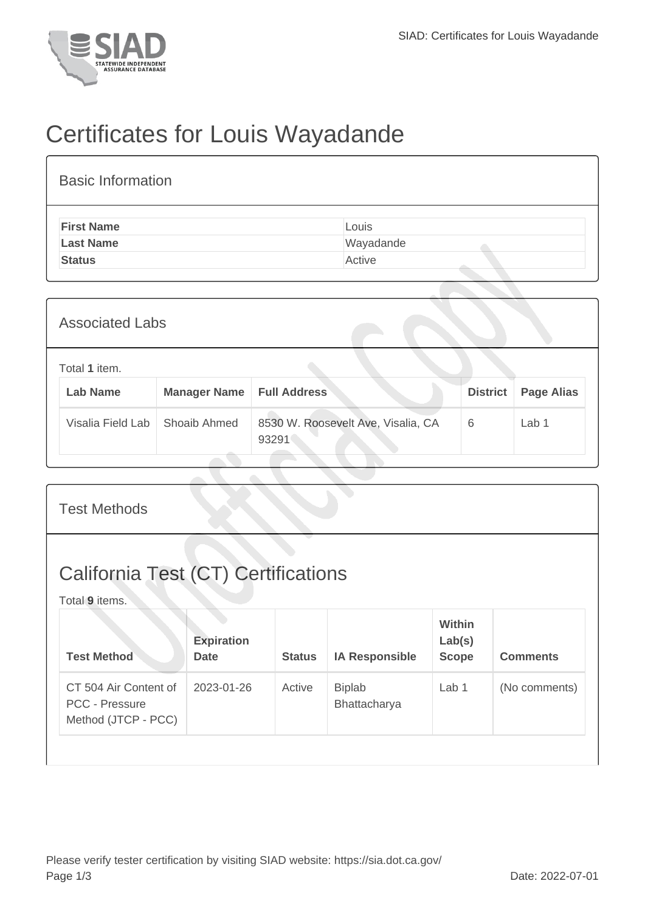

## Certificates for Louis Wayadande

| <b>Basic Information</b> |           |
|--------------------------|-----------|
| <b>First Name</b>        | Louis     |
| <b>Last Name</b>         | Wayadande |
| <b>Status</b>            | Active    |

| <b>Associated Labs</b> |                                  |                     |                                             |                 |                   |
|------------------------|----------------------------------|---------------------|---------------------------------------------|-----------------|-------------------|
|                        | Total 1 item.<br><b>Lab Name</b> | <b>Manager Name</b> | <b>Full Address</b>                         | <b>District</b> | <b>Page Alias</b> |
|                        | Visalia Field Lab                | Shoaib Ahmed        | 8530 W. Roosevelt Ave, Visalia, CA<br>93291 | 6               | Lab 1             |

| <b>Test Methods</b>                                                   |                                  |               |                               |                                         |                 |
|-----------------------------------------------------------------------|----------------------------------|---------------|-------------------------------|-----------------------------------------|-----------------|
| <b>California Test (CT) Certifications</b><br>Total 9 items.          |                                  |               |                               |                                         |                 |
| <b>Test Method</b>                                                    | <b>Expiration</b><br><b>Date</b> | <b>Status</b> | <b>IA Responsible</b>         | <b>Within</b><br>Lab(s)<br><b>Scope</b> | <b>Comments</b> |
| CT 504 Air Content of<br><b>PCC - Pressure</b><br>Method (JTCP - PCC) | 2023-01-26                       | Active        | <b>Biplab</b><br>Bhattacharya | Lab 1                                   | (No comments)   |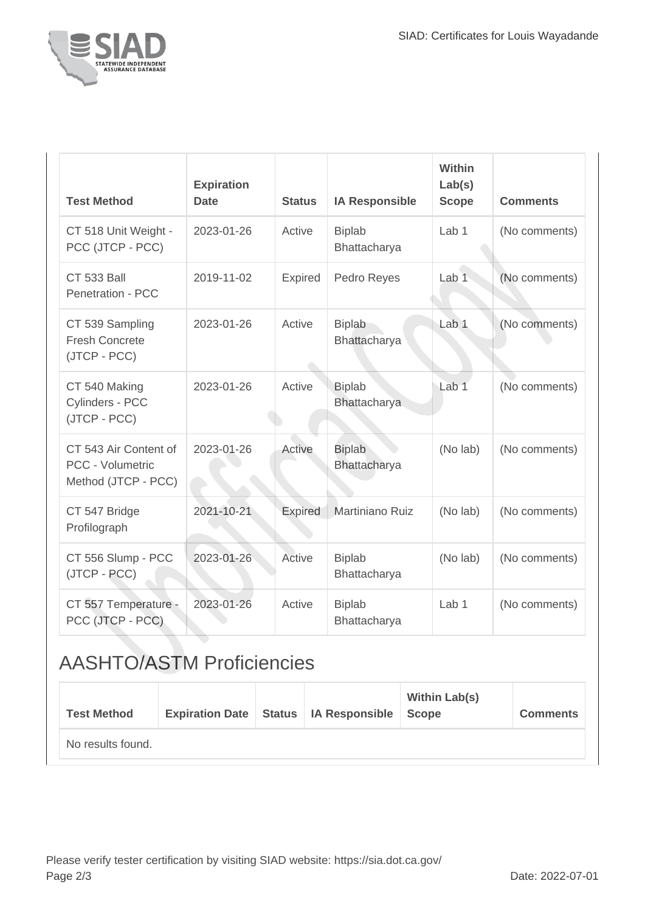

| <b>Test Method</b>                                               | <b>Expiration</b><br><b>Date</b> | <b>Status</b>  | <b>IA Responsible</b>                | Within<br>Lab(s)<br><b>Scope</b> | <b>Comments</b> |
|------------------------------------------------------------------|----------------------------------|----------------|--------------------------------------|----------------------------------|-----------------|
| CT 518 Unit Weight -<br>PCC (JTCP - PCC)                         | 2023-01-26                       | Active         | <b>Biplab</b><br>Bhattacharya        | Lab <sub>1</sub>                 | (No comments)   |
| <b>CT 533 Ball</b><br>Penetration - PCC                          | 2019-11-02                       | <b>Expired</b> | Pedro Reyes                          | Lab <sub>1</sub>                 | (No comments)   |
| CT 539 Sampling<br><b>Fresh Concrete</b><br>(JTCP - PCC)         | 2023-01-26                       | Active         | <b>Biplab</b><br>Bhattacharya        | Lab <sub>1</sub>                 | (No comments)   |
| CT 540 Making<br>Cylinders - PCC<br>(JTCP - PCC)                 | 2023-01-26                       | Active         | <b>Biplab</b><br><b>Bhattacharya</b> | Lab <sub>1</sub>                 | (No comments)   |
| CT 543 Air Content of<br>PCC - Volumetric<br>Method (JTCP - PCC) | 2023-01-26                       | Active         | <b>Biplab</b><br>Bhattacharya        | (No lab)                         | (No comments)   |
| CT 547 Bridge<br>Profilograph                                    | 2021-10-21                       | <b>Expired</b> | Martiniano Ruiz                      | (No lab)                         | (No comments)   |
| CT 556 Slump - PCC<br>(JTCP - PCC)                               | 2023-01-26                       | Active         | <b>Biplab</b><br>Bhattacharya        | (No lab)                         | (No comments)   |
| CT 557 Temperature -<br>PCC (JTCP - PCC)                         | 2023-01-26                       | Active         | <b>Biplab</b><br>Bhattacharya        | Lab <sub>1</sub>                 | (No comments)   |

## AASHTO/ASTM Proficiencies

| <b>Test Method</b> | <b>Expiration Date</b> | Status   IA Responsible | <b>Within Lab(s)</b><br>Scope | <b>Comments</b> |
|--------------------|------------------------|-------------------------|-------------------------------|-----------------|
| No results found.  |                        |                         |                               |                 |